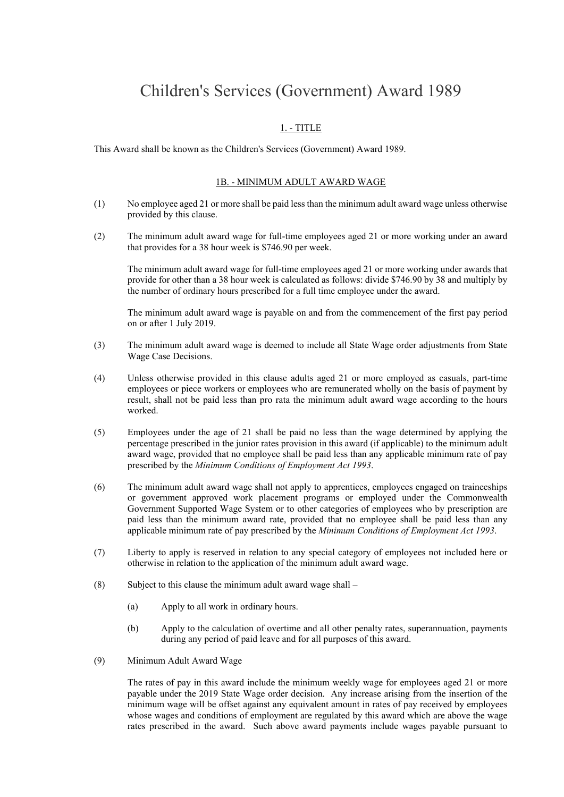# Children's Services (Government) Award 1989

# 1. - TITLE

This Award shall be known as the Children's Services (Government) Award 1989.

#### 1B. - MINIMUM ADULT AWARD WAGE

- (1) No employee aged 21 or more shall be paid less than the minimum adult award wage unless otherwise provided by this clause.
- (2) The minimum adult award wage for full-time employees aged 21 or more working under an award that provides for a 38 hour week is \$746.90 per week.

The minimum adult award wage for full-time employees aged 21 or more working under awards that provide for other than a 38 hour week is calculated as follows: divide \$746.90 by 38 and multiply by the number of ordinary hours prescribed for a full time employee under the award.

The minimum adult award wage is payable on and from the commencement of the first pay period on or after 1 July 2019.

- (3) The minimum adult award wage is deemed to include all State Wage order adjustments from State Wage Case Decisions.
- (4) Unless otherwise provided in this clause adults aged 21 or more employed as casuals, part-time employees or piece workers or employees who are remunerated wholly on the basis of payment by result, shall not be paid less than pro rata the minimum adult award wage according to the hours worked.
- (5) Employees under the age of 21 shall be paid no less than the wage determined by applying the percentage prescribed in the junior rates provision in this award (if applicable) to the minimum adult award wage, provided that no employee shall be paid less than any applicable minimum rate of pay prescribed by the *Minimum Conditions of Employment Act 1993*.
- (6) The minimum adult award wage shall not apply to apprentices, employees engaged on traineeships or government approved work placement programs or employed under the Commonwealth Government Supported Wage System or to other categories of employees who by prescription are paid less than the minimum award rate, provided that no employee shall be paid less than any applicable minimum rate of pay prescribed by the *Minimum Conditions of Employment Act 1993*.
- (7) Liberty to apply is reserved in relation to any special category of employees not included here or otherwise in relation to the application of the minimum adult award wage.
- (8) Subject to this clause the minimum adult award wage shall  $-$ 
	- (a) Apply to all work in ordinary hours.
	- (b) Apply to the calculation of overtime and all other penalty rates, superannuation, payments during any period of paid leave and for all purposes of this award.
- (9) Minimum Adult Award Wage

The rates of pay in this award include the minimum weekly wage for employees aged 21 or more payable under the 2019 State Wage order decision. Any increase arising from the insertion of the minimum wage will be offset against any equivalent amount in rates of pay received by employees whose wages and conditions of employment are regulated by this award which are above the wage rates prescribed in the award. Such above award payments include wages payable pursuant to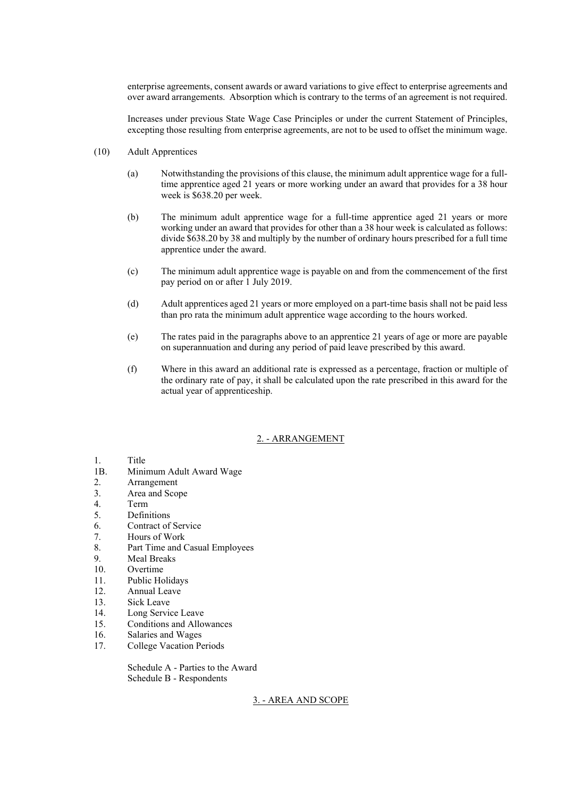enterprise agreements, consent awards or award variations to give effect to enterprise agreements and over award arrangements. Absorption which is contrary to the terms of an agreement is not required.

Increases under previous State Wage Case Principles or under the current Statement of Principles, excepting those resulting from enterprise agreements, are not to be used to offset the minimum wage.

- (10) Adult Apprentices
	- (a) Notwithstanding the provisions of this clause, the minimum adult apprentice wage for a fulltime apprentice aged 21 years or more working under an award that provides for a 38 hour week is \$638.20 per week.
	- (b) The minimum adult apprentice wage for a full-time apprentice aged 21 years or more working under an award that provides for other than a 38 hour week is calculated as follows: divide \$638.20 by 38 and multiply by the number of ordinary hours prescribed for a full time apprentice under the award.
	- (c) The minimum adult apprentice wage is payable on and from the commencement of the first pay period on or after 1 July 2019.
	- (d) Adult apprentices aged 21 years or more employed on a part-time basis shall not be paid less than pro rata the minimum adult apprentice wage according to the hours worked.
	- (e) The rates paid in the paragraphs above to an apprentice 21 years of age or more are payable on superannuation and during any period of paid leave prescribed by this award.
	- (f) Where in this award an additional rate is expressed as a percentage, fraction or multiple of the ordinary rate of pay, it shall be calculated upon the rate prescribed in this award for the actual year of apprenticeship.

# 2. - ARRANGEMENT

# 1. Title

- 1B. Minimum Adult Award Wage
- 2. Arrangement
- 3. Area and Scope
- 4. Term
- 5. Definitions
- 6. Contract of Service
- 7. Hours of Work
- 8. Part Time and Casual Employees
- 9. Meal Breaks
- 10. Overtime
- 11. Public Holidays
- 12. Annual Leave
- 13. Sick Leave
- 14. Long Service Leave
- 15. Conditions and Allowances
- 16. Salaries and Wages
- 17. College Vacation Periods

Schedule A - Parties to the Award Schedule B - Respondents

# 3. - AREA AND SCOPE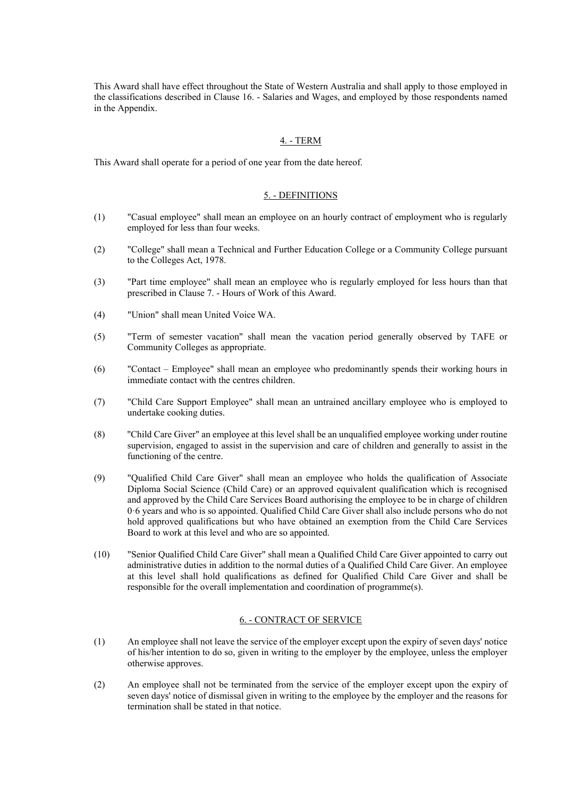This Award shall have effect throughout the State of Western Australia and shall apply to those employed in the classifications described in Clause 16. - Salaries and Wages, and employed by those respondents named in the Appendix.

#### 4. - TERM

This Award shall operate for a period of one year from the date hereof.

# 5. - DEFINITIONS

- (1) "Casual employee" shall mean an employee on an hourly contract of employment who is regularly employed for less than four weeks.
- (2) "College" shall mean a Technical and Further Education College or a Community College pursuant to the Colleges Act, 1978.
- (3) "Part time employee" shall mean an employee who is regularly employed for less hours than that prescribed in Clause 7. - Hours of Work of this Award.
- (4) "Union" shall mean United Voice WA.
- (5) "Term of semester vacation" shall mean the vacation period generally observed by TAFE or Community Colleges as appropriate.
- (6) "Contact Employee" shall mean an employee who predominantly spends their working hours in immediate contact with the centres children.
- (7) "Child Care Support Employee" shall mean an untrained ancillary employee who is employed to undertake cooking duties.
- (8) ''Child Care Giver" an employee at this level shall be an unqualified employee working under routine supervision, engaged to assist in the supervision and care of children and generally to assist in the functioning of the centre.
- (9) "Qualified Child Care Giver" shall mean an employee who holds the qualification of Associate Diploma Social Science (Child Care) or an approved equivalent qualification which is recognised and approved by the Child Care Services Board authorising the employee to be in charge of children 0·6 years and who is so appointed. Qualified Child Care Giver shall also include persons who do not hold approved qualifications but who have obtained an exemption from the Child Care Services Board to work at this level and who are so appointed.
- (10) "Senior Qualified Child Care Giver" shall mean a Qualified Child Care Giver appointed to carry out administrative duties in addition to the normal duties of a Qualified Child Care Giver. An employee at this level shall hold qualifications as defined for Qualified Child Care Giver and shall be responsible for the overall implementation and coordination of programme(s).

#### 6. - CONTRACT OF SERVICE

- (1) An employee shall not leave the service of the employer except upon the expiry of seven days' notice of his/her intention to do so, given in writing to the employer by the employee, unless the employer otherwise approves.
- (2) An employee shall not be terminated from the service of the employer except upon the expiry of seven days' notice of dismissal given in writing to the employee by the employer and the reasons for termination shall be stated in that notice.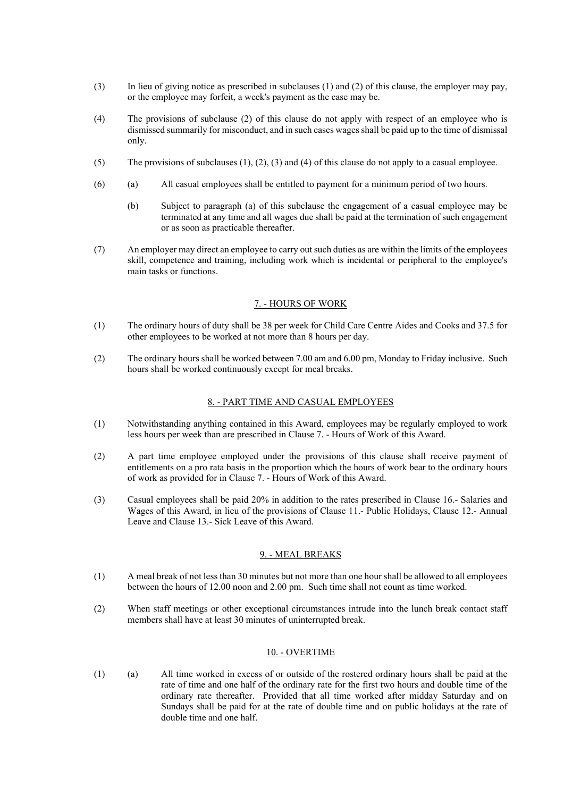- (3) In lieu of giving notice as prescribed in subclauses (1) and (2) of this clause, the employer may pay, or the employee may forfeit, a week's payment as the case may be.
- (4) The provisions of subclause (2) of this clause do not apply with respect of an employee who is dismissed summarily for misconduct, and in such cases wages shall be paid up to the time of dismissal only.
- (5) The provisions of subclauses (1), (2), (3) and (4) of this clause do not apply to a casual employee.
- (6) (a) All casual employees shall be entitled to payment for a minimum period of two hours.
	- (b) Subject to paragraph (a) of this subclause the engagement of a casual employee may be terminated at any time and all wages due shall be paid at the termination of such engagement or as soon as practicable thereafter.
- (7) An employer may direct an employee to carry out such duties as are within the limits of the employees skill, competence and training, including work which is incidental or peripheral to the employee's main tasks or functions.

#### 7. - HOURS OF WORK

- (1) The ordinary hours of duty shall be 38 per week for Child Care Centre Aides and Cooks and 37.5 for other employees to be worked at not more than 8 hours per day.
- (2) The ordinary hours shall be worked between 7.00 am and 6.00 pm, Monday to Friday inclusive. Such hours shall be worked continuously except for meal breaks.

#### 8. - PART TIME AND CASUAL EMPLOYEES

- (1) Notwithstanding anything contained in this Award, employees may be regularly employed to work less hours per week than are prescribed in Clause 7. - Hours of Work of this Award.
- (2) A part time employee employed under the provisions of this clause shall receive payment of entitlements on a pro rata basis in the proportion which the hours of work bear to the ordinary hours of work as provided for in Clause 7. - Hours of Work of this Award.
- (3) Casual employees shall be paid 20% in addition to the rates prescribed in Clause 16.- Salaries and Wages of this Award, in lieu of the provisions of Clause 11.- Public Holidays, Clause 12.- Annual Leave and Clause 13.- Sick Leave of this Award.

#### 9. - MEAL BREAKS

- (1) A meal break of not less than 30 minutes but not more than one hour shall be allowed to all employees between the hours of 12.00 noon and 2.00 pm. Such time shall not count as time worked.
- (2) When staff meetings or other exceptional circumstances intrude into the lunch break contact staff members shall have at least 30 minutes of uninterrupted break.

#### 10. - OVERTIME

(1) (a) All time worked in excess of or outside of the rostered ordinary hours shall be paid at the rate of time and one half of the ordinary rate for the first two hours and double time of the ordinary rate thereafter. Provided that all time worked after midday Saturday and on Sundays shall be paid for at the rate of double time and on public holidays at the rate of double time and one half.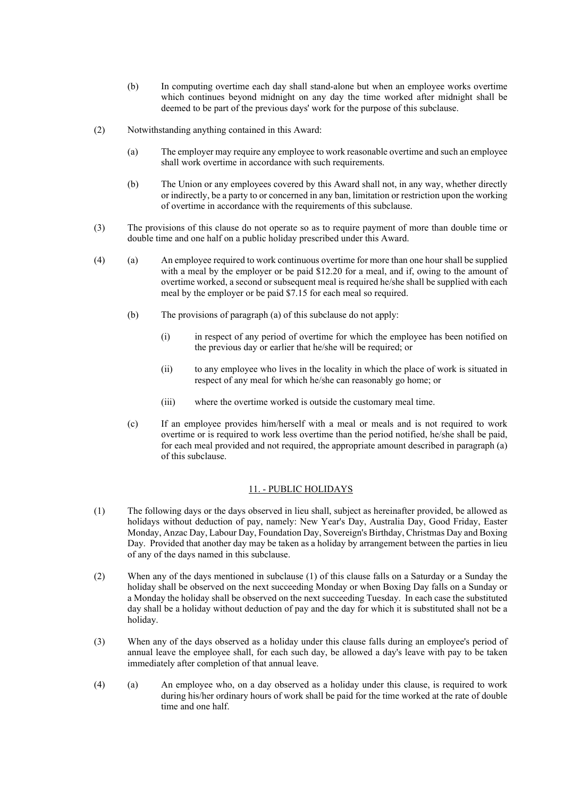- (b) In computing overtime each day shall stand-alone but when an employee works overtime which continues beyond midnight on any day the time worked after midnight shall be deemed to be part of the previous days' work for the purpose of this subclause.
- (2) Notwithstanding anything contained in this Award:
	- (a) The employer may require any employee to work reasonable overtime and such an employee shall work overtime in accordance with such requirements.
	- (b) The Union or any employees covered by this Award shall not, in any way, whether directly or indirectly, be a party to or concerned in any ban, limitation or restriction upon the working of overtime in accordance with the requirements of this subclause.
- (3) The provisions of this clause do not operate so as to require payment of more than double time or double time and one half on a public holiday prescribed under this Award.
- (4) (a) An employee required to work continuous overtime for more than one hour shall be supplied with a meal by the employer or be paid \$12.20 for a meal, and if, owing to the amount of overtime worked, a second or subsequent meal is required he/she shall be supplied with each meal by the employer or be paid \$7.15 for each meal so required.
	- (b) The provisions of paragraph (a) of this subclause do not apply:
		- (i) in respect of any period of overtime for which the employee has been notified on the previous day or earlier that he/she will be required; or
		- (ii) to any employee who lives in the locality in which the place of work is situated in respect of any meal for which he/she can reasonably go home; or
		- (iii) where the overtime worked is outside the customary meal time.
	- (c) If an employee provides him/herself with a meal or meals and is not required to work overtime or is required to work less overtime than the period notified, he/she shall be paid, for each meal provided and not required, the appropriate amount described in paragraph (a) of this subclause.

#### 11. - PUBLIC HOLIDAYS

- (1) The following days or the days observed in lieu shall, subject as hereinafter provided, be allowed as holidays without deduction of pay, namely: New Year's Day, Australia Day, Good Friday, Easter Monday, Anzac Day, Labour Day, Foundation Day, Sovereign's Birthday, Christmas Day and Boxing Day. Provided that another day may be taken as a holiday by arrangement between the parties in lieu of any of the days named in this subclause.
- (2) When any of the days mentioned in subclause (1) of this clause falls on a Saturday or a Sunday the holiday shall be observed on the next succeeding Monday or when Boxing Day falls on a Sunday or a Monday the holiday shall be observed on the next succeeding Tuesday. In each case the substituted day shall be a holiday without deduction of pay and the day for which it is substituted shall not be a holiday.
- (3) When any of the days observed as a holiday under this clause falls during an employee's period of annual leave the employee shall, for each such day, be allowed a day's leave with pay to be taken immediately after completion of that annual leave.
- (4) (a) An employee who, on a day observed as a holiday under this clause, is required to work during his/her ordinary hours of work shall be paid for the time worked at the rate of double time and one half.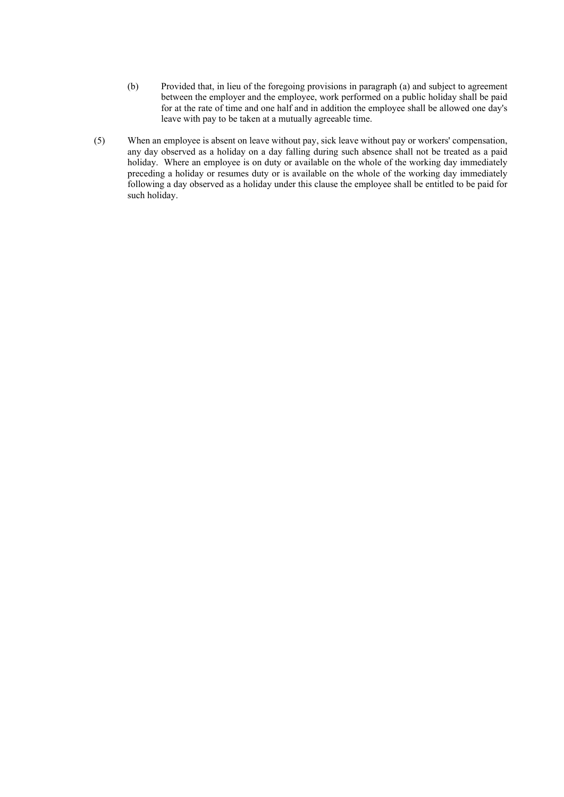- (b) Provided that, in lieu of the foregoing provisions in paragraph (a) and subject to agreement between the employer and the employee, work performed on a public holiday shall be paid for at the rate of time and one half and in addition the employee shall be allowed one day's leave with pay to be taken at a mutually agreeable time.
- (5) When an employee is absent on leave without pay, sick leave without pay or workers' compensation, any day observed as a holiday on a day falling during such absence shall not be treated as a paid holiday. Where an employee is on duty or available on the whole of the working day immediately preceding a holiday or resumes duty or is available on the whole of the working day immediately following a day observed as a holiday under this clause the employee shall be entitled to be paid for such holiday.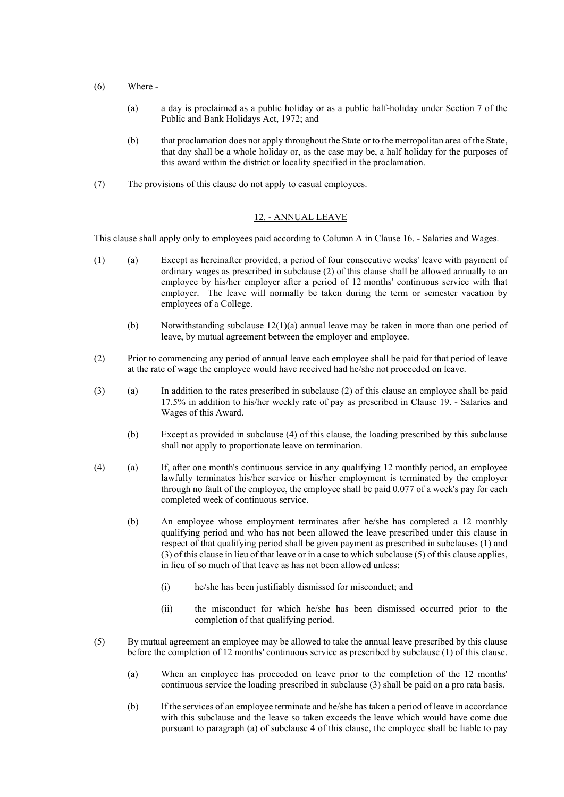- (6) Where
	- (a) a day is proclaimed as a public holiday or as a public half-holiday under Section 7 of the Public and Bank Holidays Act, 1972; and
	- (b) that proclamation does not apply throughout the State or to the metropolitan area of the State, that day shall be a whole holiday or, as the case may be, a half holiday for the purposes of this award within the district or locality specified in the proclamation.
- (7) The provisions of this clause do not apply to casual employees.

#### 12. - ANNUAL LEAVE

This clause shall apply only to employees paid according to Column A in Clause 16. - Salaries and Wages.

- (1) (a) Except as hereinafter provided, a period of four consecutive weeks' leave with payment of ordinary wages as prescribed in subclause (2) of this clause shall be allowed annually to an employee by his/her employer after a period of 12 months' continuous service with that employer. The leave will normally be taken during the term or semester vacation by employees of a College.
	- (b) Notwithstanding subclause 12(1)(a) annual leave may be taken in more than one period of leave, by mutual agreement between the employer and employee.
- (2) Prior to commencing any period of annual leave each employee shall be paid for that period of leave at the rate of wage the employee would have received had he/she not proceeded on leave.
- (3) (a) In addition to the rates prescribed in subclause (2) of this clause an employee shall be paid 17.5% in addition to his/her weekly rate of pay as prescribed in Clause 19. - Salaries and Wages of this Award.
	- (b) Except as provided in subclause (4) of this clause, the loading prescribed by this subclause shall not apply to proportionate leave on termination.
- (4) (a) If, after one month's continuous service in any qualifying 12 monthly period, an employee lawfully terminates his/her service or his/her employment is terminated by the employer through no fault of the employee, the employee shall be paid 0.077 of a week's pay for each completed week of continuous service.
	- (b) An employee whose employment terminates after he/she has completed a 12 monthly qualifying period and who has not been allowed the leave prescribed under this clause in respect of that qualifying period shall be given payment as prescribed in subclauses (1) and (3) of this clause in lieu of that leave or in a case to which subclause (5) of this clause applies, in lieu of so much of that leave as has not been allowed unless:
		- (i) he/she has been justifiably dismissed for misconduct; and
		- (ii) the misconduct for which he/she has been dismissed occurred prior to the completion of that qualifying period.
- (5) By mutual agreement an employee may be allowed to take the annual leave prescribed by this clause before the completion of 12 months' continuous service as prescribed by subclause (1) of this clause.
	- (a) When an employee has proceeded on leave prior to the completion of the 12 months' continuous service the loading prescribed in subclause (3) shall be paid on a pro rata basis.
	- (b) If the services of an employee terminate and he/she has taken a period of leave in accordance with this subclause and the leave so taken exceeds the leave which would have come due pursuant to paragraph (a) of subclause 4 of this clause, the employee shall be liable to pay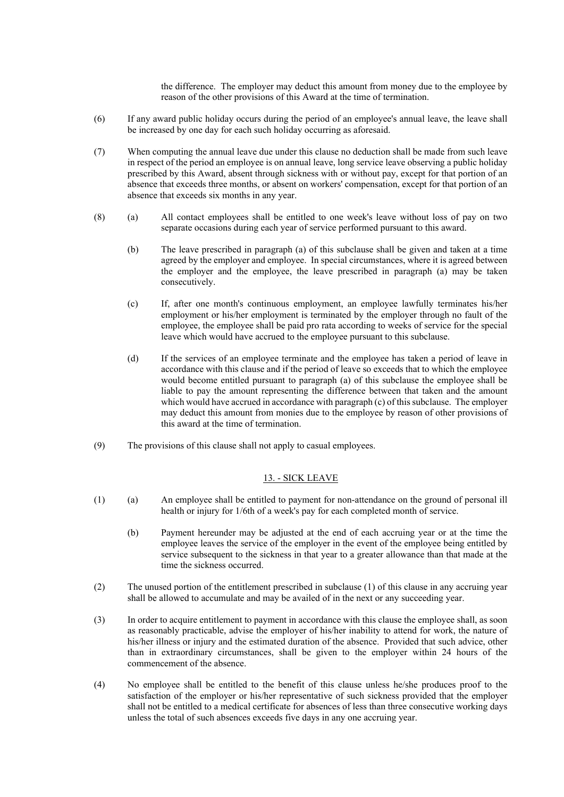the difference. The employer may deduct this amount from money due to the employee by reason of the other provisions of this Award at the time of termination.

- (6) If any award public holiday occurs during the period of an employee's annual leave, the leave shall be increased by one day for each such holiday occurring as aforesaid.
- (7) When computing the annual leave due under this clause no deduction shall be made from such leave in respect of the period an employee is on annual leave, long service leave observing a public holiday prescribed by this Award, absent through sickness with or without pay, except for that portion of an absence that exceeds three months, or absent on workers' compensation, except for that portion of an absence that exceeds six months in any year.
- (8) (a) All contact employees shall be entitled to one week's leave without loss of pay on two separate occasions during each year of service performed pursuant to this award.
	- (b) The leave prescribed in paragraph (a) of this subclause shall be given and taken at a time agreed by the employer and employee. In special circumstances, where it is agreed between the employer and the employee, the leave prescribed in paragraph (a) may be taken consecutively.
	- (c) If, after one month's continuous employment, an employee lawfully terminates his/her employment or his/her employment is terminated by the employer through no fault of the employee, the employee shall be paid pro rata according to weeks of service for the special leave which would have accrued to the employee pursuant to this subclause.
	- (d) If the services of an employee terminate and the employee has taken a period of leave in accordance with this clause and if the period of leave so exceeds that to which the employee would become entitled pursuant to paragraph (a) of this subclause the employee shall be liable to pay the amount representing the difference between that taken and the amount which would have accrued in accordance with paragraph (c) of this subclause. The employer may deduct this amount from monies due to the employee by reason of other provisions of this award at the time of termination.
- (9) The provisions of this clause shall not apply to casual employees.

#### 13. - SICK LEAVE

- (1) (a) An employee shall be entitled to payment for non-attendance on the ground of personal ill health or injury for 1/6th of a week's pay for each completed month of service.
	- (b) Payment hereunder may be adjusted at the end of each accruing year or at the time the employee leaves the service of the employer in the event of the employee being entitled by service subsequent to the sickness in that year to a greater allowance than that made at the time the sickness occurred.
- (2) The unused portion of the entitlement prescribed in subclause (1) of this clause in any accruing year shall be allowed to accumulate and may be availed of in the next or any succeeding year.
- (3) In order to acquire entitlement to payment in accordance with this clause the employee shall, as soon as reasonably practicable, advise the employer of his/her inability to attend for work, the nature of his/her illness or injury and the estimated duration of the absence. Provided that such advice, other than in extraordinary circumstances, shall be given to the employer within 24 hours of the commencement of the absence.
- (4) No employee shall be entitled to the benefit of this clause unless he/she produces proof to the satisfaction of the employer or his/her representative of such sickness provided that the employer shall not be entitled to a medical certificate for absences of less than three consecutive working days unless the total of such absences exceeds five days in any one accruing year.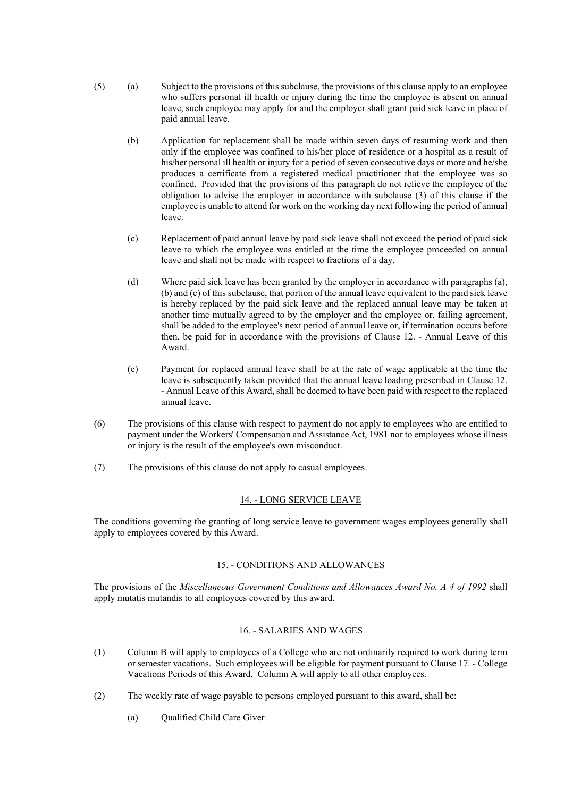- (5) (a) Subject to the provisions of this subclause, the provisions of this clause apply to an employee who suffers personal ill health or injury during the time the employee is absent on annual leave, such employee may apply for and the employer shall grant paid sick leave in place of paid annual leave.
	- (b) Application for replacement shall be made within seven days of resuming work and then only if the employee was confined to his/her place of residence or a hospital as a result of his/her personal ill health or injury for a period of seven consecutive days or more and he/she produces a certificate from a registered medical practitioner that the employee was so confined. Provided that the provisions of this paragraph do not relieve the employee of the obligation to advise the employer in accordance with subclause (3) of this clause if the employee is unable to attend for work on the working day next following the period of annual leave.
	- (c) Replacement of paid annual leave by paid sick leave shall not exceed the period of paid sick leave to which the employee was entitled at the time the employee proceeded on annual leave and shall not be made with respect to fractions of a day.
	- (d) Where paid sick leave has been granted by the employer in accordance with paragraphs (a), (b) and (c) of this subclause, that portion of the annual leave equivalent to the paid sick leave is hereby replaced by the paid sick leave and the replaced annual leave may be taken at another time mutually agreed to by the employer and the employee or, failing agreement, shall be added to the employee's next period of annual leave or, if termination occurs before then, be paid for in accordance with the provisions of Clause 12. - Annual Leave of this Award.
	- (e) Payment for replaced annual leave shall be at the rate of wage applicable at the time the leave is subsequently taken provided that the annual leave loading prescribed in Clause 12. - Annual Leave of this Award, shall be deemed to have been paid with respect to the replaced annual leave.
- (6) The provisions of this clause with respect to payment do not apply to employees who are entitled to payment under the Workers' Compensation and Assistance Act, 1981 nor to employees whose illness or injury is the result of the employee's own misconduct.
- (7) The provisions of this clause do not apply to casual employees.

#### 14. - LONG SERVICE LEAVE

The conditions governing the granting of long service leave to government wages employees generally shall apply to employees covered by this Award.

# 15. - CONDITIONS AND ALLOWANCES

The provisions of the *Miscellaneous Government Conditions and Allowances Award No. A 4 of 1992* shall apply mutatis mutandis to all employees covered by this award.

#### 16. - SALARIES AND WAGES

- (1) Column B will apply to employees of a College who are not ordinarily required to work during term or semester vacations. Such employees will be eligible for payment pursuant to Clause 17. - College Vacations Periods of this Award. Column A will apply to all other employees.
- (2) The weekly rate of wage payable to persons employed pursuant to this award, shall be:
	- (a) Qualified Child Care Giver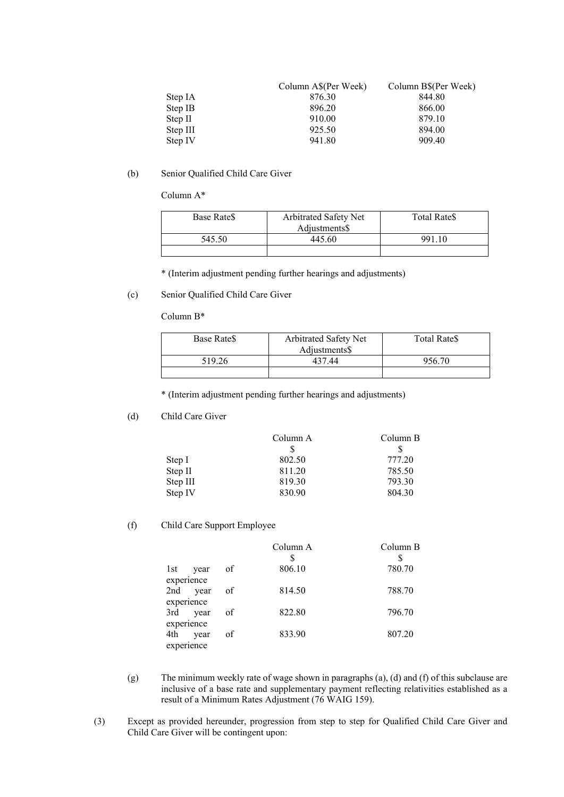|          | Column A\$(Per Week) | Column B\$(Per Week) |
|----------|----------------------|----------------------|
| Step IA  | 876.30               | 844.80               |
| Step IB  | 896.20               | 866.00               |
| Step II  | 910.00               | 879.10               |
| Step III | 925.50               | 894.00               |
| Step IV  | 941.80               | 909.40               |

### (b) Senior Qualified Child Care Giver

Column A\*

| Base Rate <sub>S</sub> | Arbitrated Safety Net | <b>Total Rates</b> |
|------------------------|-----------------------|--------------------|
|                        | Adjustments\$         |                    |
| 545.50                 | 445.60                | 991.10             |
|                        |                       |                    |

\* (Interim adjustment pending further hearings and adjustments)

# (c) Senior Qualified Child Care Giver

Column B\*

| Base Rate <sub>S</sub> | Arbitrated Safety Net | Total Rate\$ |
|------------------------|-----------------------|--------------|
|                        | Adjustments\$         |              |
| 519.26                 | 437.44                | 956.70       |
|                        |                       |              |

\* (Interim adjustment pending further hearings and adjustments)

(d) Child Care Giver

| Column B |
|----------|
|          |
| 777.20   |
| 785.50   |
| 793.30   |
| 804.30   |
|          |

(f) Child Care Support Employee

|            |          |    | Column A | Column B |
|------------|----------|----|----------|----------|
|            |          |    |          |          |
| 1st        | year     | of | 806.10   | 780.70   |
| experience |          |    |          |          |
|            | 2nd year | of | 814.50   | 788.70   |
| experience |          |    |          |          |
| 3rd        | year     | of | 822.80   | 796.70   |
| experience |          |    |          |          |
| 4th        | year     | of | 833.90   | 807.20   |
| experience |          |    |          |          |

- (g) The minimum weekly rate of wage shown in paragraphs (a), (d) and (f) of this subclause are inclusive of a base rate and supplementary payment reflecting relativities established as a result of a Minimum Rates Adjustment (76 WAIG 159).
- (3) Except as provided hereunder, progression from step to step for Qualified Child Care Giver and Child Care Giver will be contingent upon: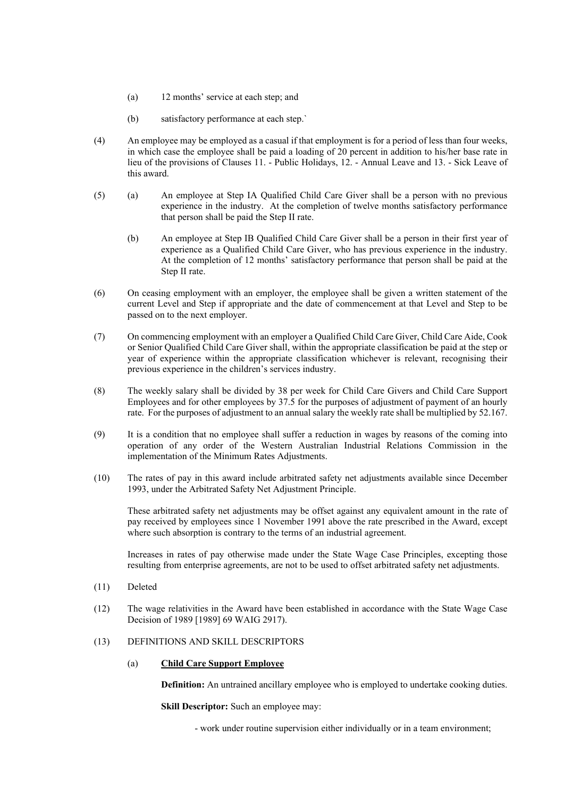- (a) 12 months' service at each step; and
- (b) satisfactory performance at each step.`
- (4) An employee may be employed as a casual if that employment is for a period of less than four weeks, in which case the employee shall be paid a loading of 20 percent in addition to his/her base rate in lieu of the provisions of Clauses 11. - Public Holidays, 12. - Annual Leave and 13. - Sick Leave of this award.
- (5) (a) An employee at Step IA Qualified Child Care Giver shall be a person with no previous experience in the industry. At the completion of twelve months satisfactory performance that person shall be paid the Step II rate.
	- (b) An employee at Step IB Qualified Child Care Giver shall be a person in their first year of experience as a Qualified Child Care Giver, who has previous experience in the industry. At the completion of 12 months' satisfactory performance that person shall be paid at the Step II rate.
- (6) On ceasing employment with an employer, the employee shall be given a written statement of the current Level and Step if appropriate and the date of commencement at that Level and Step to be passed on to the next employer.
- (7) On commencing employment with an employer a Qualified Child Care Giver, Child Care Aide, Cook or Senior Qualified Child Care Giver shall, within the appropriate classification be paid at the step or year of experience within the appropriate classification whichever is relevant, recognising their previous experience in the children's services industry.
- (8) The weekly salary shall be divided by 38 per week for Child Care Givers and Child Care Support Employees and for other employees by 37.5 for the purposes of adjustment of payment of an hourly rate. For the purposes of adjustment to an annual salary the weekly rate shall be multiplied by 52.167.
- (9) It is a condition that no employee shall suffer a reduction in wages by reasons of the coming into operation of any order of the Western Australian Industrial Relations Commission in the implementation of the Minimum Rates Adjustments.
- (10) The rates of pay in this award include arbitrated safety net adjustments available since December 1993, under the Arbitrated Safety Net Adjustment Principle.

These arbitrated safety net adjustments may be offset against any equivalent amount in the rate of pay received by employees since 1 November 1991 above the rate prescribed in the Award, except where such absorption is contrary to the terms of an industrial agreement.

Increases in rates of pay otherwise made under the State Wage Case Principles, excepting those resulting from enterprise agreements, are not to be used to offset arbitrated safety net adjustments.

- (11) Deleted
- (12) The wage relativities in the Award have been established in accordance with the State Wage Case Decision of 1989 [1989] 69 WAIG 2917).

#### (13) DEFINITIONS AND SKILL DESCRIPTORS

#### (a) **Child Care Support Employee**

**Definition:** An untrained ancillary employee who is employed to undertake cooking duties.

**Skill Descriptor:** Such an employee may:

- work under routine supervision either individually or in a team environment;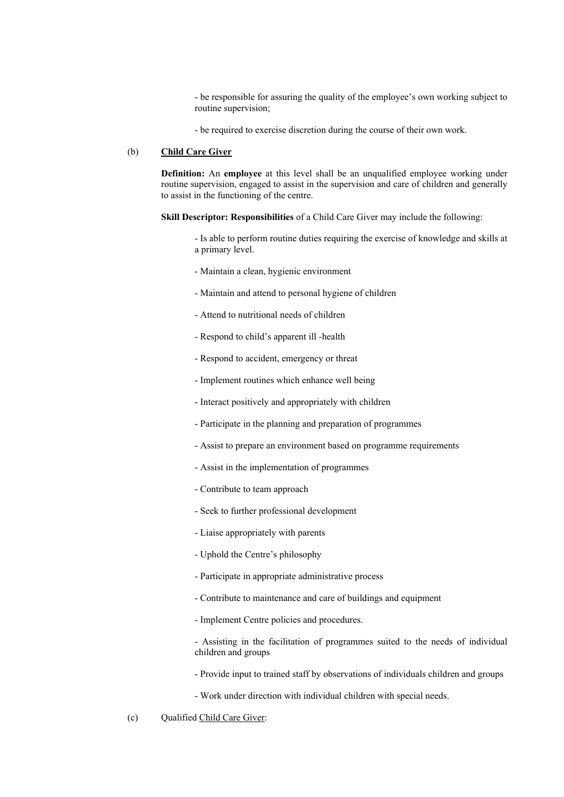- be responsible for assuring the quality of the employee's own working subject to routine supervision;

- be required to exercise discretion during the course of their own work.

#### (b) **Child Care Giver**

**Definition:** An **employee** at this level shall be an unqualified employee working under routine supervision, engaged to assist in the supervision and care of children and generally to assist in the functioning of the centre.

**Skill Descriptor: Responsibilities** of a Child Care Giver may include the following:

- Is able to perform routine duties requiring the exercise of knowledge and skills at a primary level.

- Maintain a clean, hygienic environment
- Maintain and attend to personal hygiene of children
- Attend to nutritional needs of children
- Respond to child's apparent ill -health
- Respond to accident, emergency or threat
- Implement routines which enhance well being
- Interact positively and appropriately with children
- Participate in the planning and preparation of programmes
- Assist to prepare an environment based on programme requirements
- Assist in the implementation of programmes
- Contribute to team approach
- Seek to further professional development
- Liaise appropriately with parents
- Uphold the Centre's philosophy
- Participate in appropriate administrative process
- Contribute to maintenance and care of buildings and equipment
- Implement Centre policies and procedures.

- Assisting in the facilitation of programmes suited to the needs of individual children and groups

- Provide input to trained staff by observations of individuals children and groups
- Work under direction with individual children with special needs.
- (c) Qualified Child Care Giver: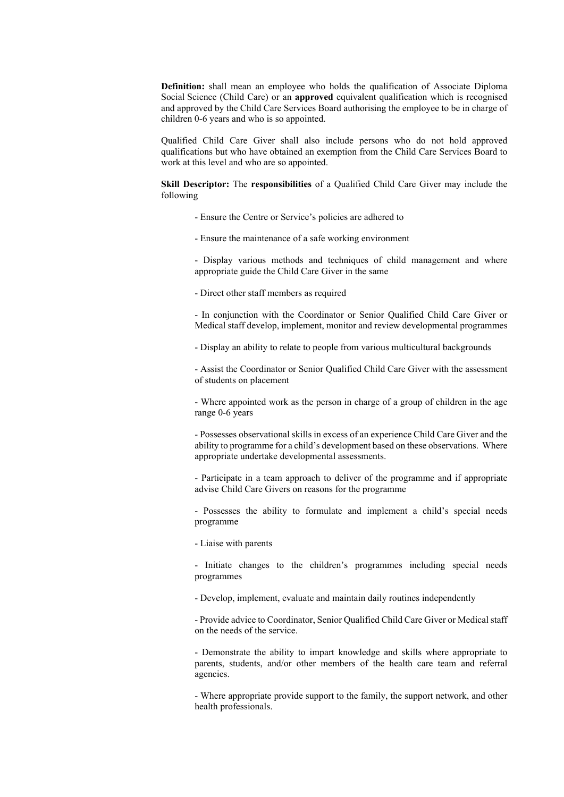**Definition:** shall mean an employee who holds the qualification of Associate Diploma Social Science (Child Care) or an **approved** equivalent qualification which is recognised and approved by the Child Care Services Board authorising the employee to be in charge of children 0-6 years and who is so appointed.

Qualified Child Care Giver shall also include persons who do not hold approved qualifications but who have obtained an exemption from the Child Care Services Board to work at this level and who are so appointed.

**Skill Descriptor:** The **responsibilities** of a Qualified Child Care Giver may include the following

- Ensure the Centre or Service's policies are adhered to
- Ensure the maintenance of a safe working environment

- Display various methods and techniques of child management and where appropriate guide the Child Care Giver in the same

- Direct other staff members as required

- In conjunction with the Coordinator or Senior Qualified Child Care Giver or Medical staff develop, implement, monitor and review developmental programmes

- Display an ability to relate to people from various multicultural backgrounds

- Assist the Coordinator or Senior Qualified Child Care Giver with the assessment of students on placement

- Where appointed work as the person in charge of a group of children in the age range 0-6 years

- Possesses observational skills in excess of an experience Child Care Giver and the ability to programme for a child's development based on these observations. Where appropriate undertake developmental assessments.

- Participate in a team approach to deliver of the programme and if appropriate advise Child Care Givers on reasons for the programme

- Possesses the ability to formulate and implement a child's special needs programme

- Liaise with parents

- Initiate changes to the children's programmes including special needs programmes

- Develop, implement, evaluate and maintain daily routines independently

- Provide advice to Coordinator, Senior Qualified Child Care Giver or Medical staff on the needs of the service.

- Demonstrate the ability to impart knowledge and skills where appropriate to parents, students, and/or other members of the health care team and referral agencies.

- Where appropriate provide support to the family, the support network, and other health professionals.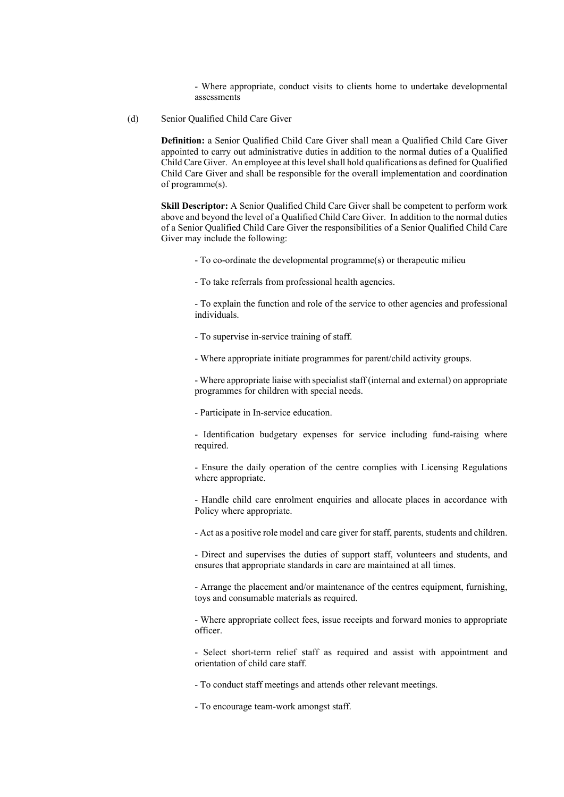- Where appropriate, conduct visits to clients home to undertake developmental assessments

(d) Senior Qualified Child Care Giver

**Definition:** a Senior Qualified Child Care Giver shall mean a Qualified Child Care Giver appointed to carry out administrative duties in addition to the normal duties of a Qualified Child Care Giver. An employee at this level shall hold qualifications as defined for Qualified Child Care Giver and shall be responsible for the overall implementation and coordination of programme(s).

**Skill Descriptor:** A Senior Qualified Child Care Giver shall be competent to perform work above and beyond the level of a Qualified Child Care Giver. In addition to the normal duties of a Senior Qualified Child Care Giver the responsibilities of a Senior Qualified Child Care Giver may include the following:

- To co-ordinate the developmental programme(s) or therapeutic milieu
- To take referrals from professional health agencies.

- To explain the function and role of the service to other agencies and professional individuals.

- To supervise in-service training of staff.
- Where appropriate initiate programmes for parent/child activity groups.

- Where appropriate liaise with specialist staff (internal and external) on appropriate programmes for children with special needs.

- Participate in In-service education.

- Identification budgetary expenses for service including fund-raising where required.

- Ensure the daily operation of the centre complies with Licensing Regulations where appropriate.

- Handle child care enrolment enquiries and allocate places in accordance with Policy where appropriate.

- Act as a positive role model and care giver for staff, parents, students and children.

- Direct and supervises the duties of support staff, volunteers and students, and ensures that appropriate standards in care are maintained at all times.

- Arrange the placement and/or maintenance of the centres equipment, furnishing, toys and consumable materials as required.

- Where appropriate collect fees, issue receipts and forward monies to appropriate officer.

- Select short-term relief staff as required and assist with appointment and orientation of child care staff.

- To conduct staff meetings and attends other relevant meetings.
- To encourage team-work amongst staff.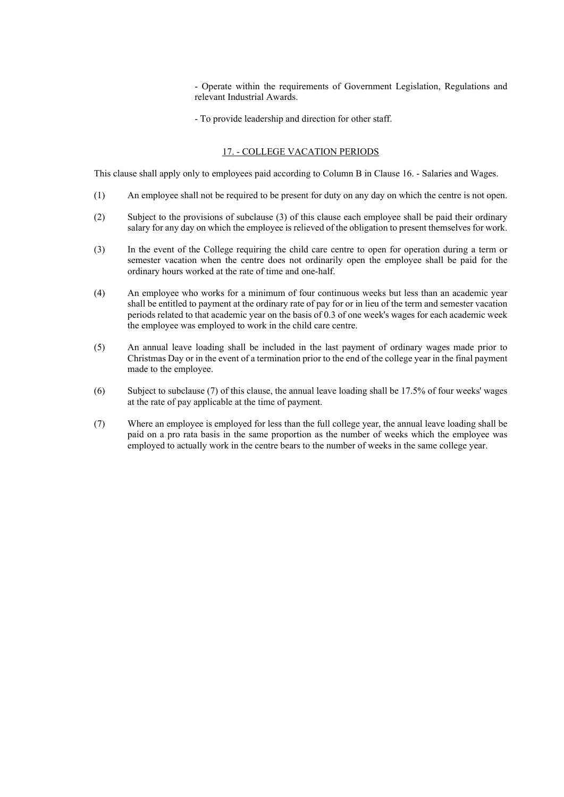- Operate within the requirements of Government Legislation, Regulations and relevant Industrial Awards.

- To provide leadership and direction for other staff.

#### 17. - COLLEGE VACATION PERIODS

This clause shall apply only to employees paid according to Column B in Clause 16. - Salaries and Wages.

- (1) An employee shall not be required to be present for duty on any day on which the centre is not open.
- (2) Subject to the provisions of subclause (3) of this clause each employee shall be paid their ordinary salary for any day on which the employee is relieved of the obligation to present themselves for work.
- (3) In the event of the College requiring the child care centre to open for operation during a term or semester vacation when the centre does not ordinarily open the employee shall be paid for the ordinary hours worked at the rate of time and one-half.
- (4) An employee who works for a minimum of four continuous weeks but less than an academic year shall be entitled to payment at the ordinary rate of pay for or in lieu of the term and semester vacation periods related to that academic year on the basis of 0.3 of one week's wages for each academic week the employee was employed to work in the child care centre.
- (5) An annual leave loading shall be included in the last payment of ordinary wages made prior to Christmas Day or in the event of a termination prior to the end of the college year in the final payment made to the employee.
- (6) Subject to subclause (7) of this clause, the annual leave loading shall be 17.5% of four weeks' wages at the rate of pay applicable at the time of payment.
- (7) Where an employee is employed for less than the full college year, the annual leave loading shall be paid on a pro rata basis in the same proportion as the number of weeks which the employee was employed to actually work in the centre bears to the number of weeks in the same college year.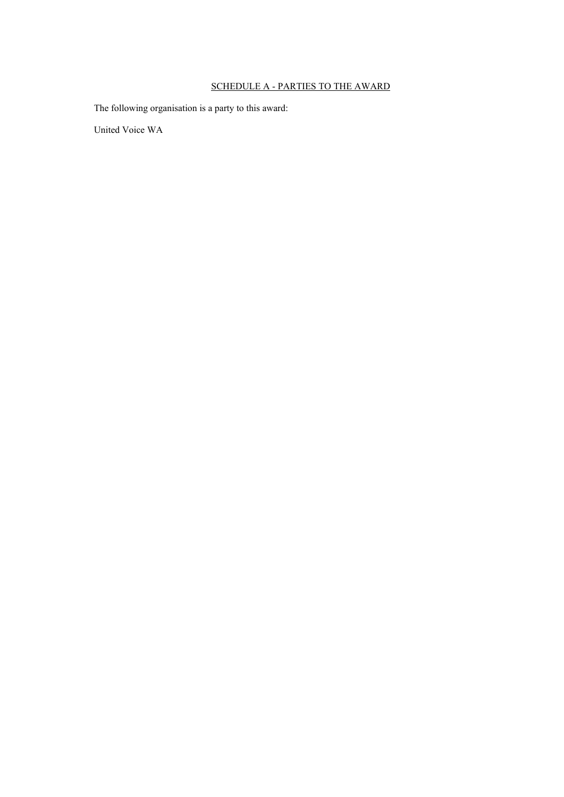# SCHEDULE A - PARTIES TO THE AWARD

The following organisation is a party to this award:

United Voice WA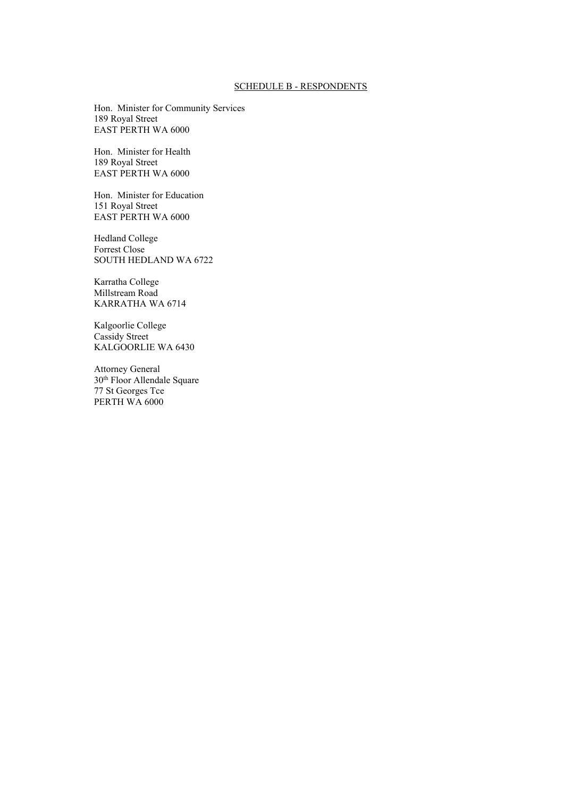#### SCHEDULE B - RESPONDENTS

Hon. Minister for Community Services 189 Royal Street EAST PERTH WA 6000

Hon. Minister for Health 189 Royal Street EAST PERTH WA 6000

Hon. Minister for Education 151 Royal Street EAST PERTH WA 6000

Hedland College Forrest Close SOUTH HEDLAND WA 6722

Karratha College Millstream Road KARRATHA WA 6714

Kalgoorlie College Cassidy Street KALGOORLIE WA 6430

Attorney General 30th Floor Allendale Square 77 St Georges Tce PERTH WA 6000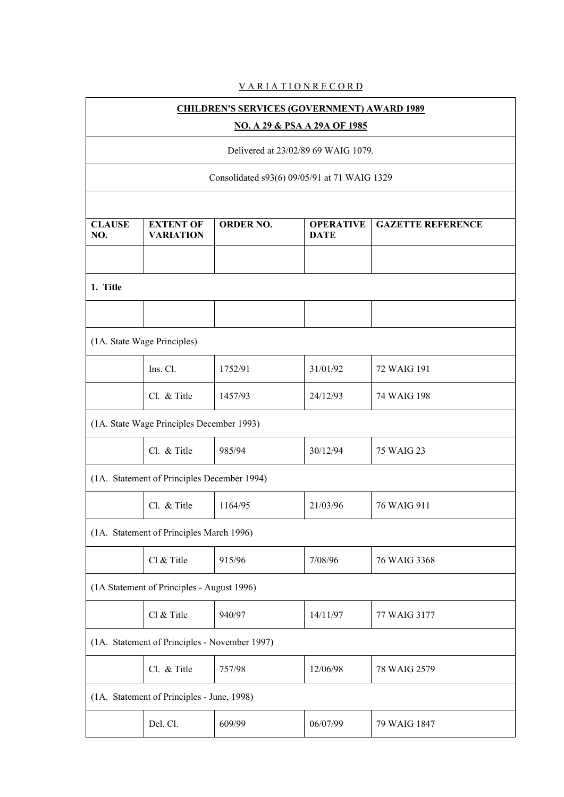# **VARIATIONRECORD**

| <b>CHILDREN'S SERVICES (GOVERNMENT) AWARD 1989</b> |                                               |                                              |                                     |                          |  |
|----------------------------------------------------|-----------------------------------------------|----------------------------------------------|-------------------------------------|--------------------------|--|
|                                                    |                                               |                                              | NO. A 29 & PSA A 29A OF 1985        |                          |  |
|                                                    |                                               |                                              | Delivered at 23/02/89 69 WAIG 1079. |                          |  |
|                                                    |                                               | Consolidated s93(6) 09/05/91 at 71 WAIG 1329 |                                     |                          |  |
|                                                    |                                               |                                              |                                     |                          |  |
| <b>CLAUSE</b><br>NO.                               | <b>EXTENT OF</b><br><b>VARIATION</b>          | <b>ORDER NO.</b>                             | <b>OPERATIVE</b><br><b>DATE</b>     | <b>GAZETTE REFERENCE</b> |  |
|                                                    |                                               |                                              |                                     |                          |  |
| 1. Title                                           |                                               |                                              |                                     |                          |  |
|                                                    |                                               |                                              |                                     |                          |  |
|                                                    | (1A. State Wage Principles)                   |                                              |                                     |                          |  |
|                                                    | Ins. Cl.                                      | 1752/91                                      | 31/01/92                            | 72 WAIG 191              |  |
|                                                    | Cl. & Title                                   | 1457/93                                      | 24/12/93                            | 74 WAIG 198              |  |
|                                                    | (1A. State Wage Principles December 1993)     |                                              |                                     |                          |  |
|                                                    | Cl. & Title                                   | 985/94                                       | 30/12/94                            | 75 WAIG 23               |  |
|                                                    | (1A. Statement of Principles December 1994)   |                                              |                                     |                          |  |
|                                                    | Cl. & Title                                   | 1164/95                                      | 21/03/96                            | 76 WAIG 911              |  |
|                                                    | (1A. Statement of Principles March 1996)      |                                              |                                     |                          |  |
|                                                    | Cl & Title                                    | 915/96                                       | 7/08/96                             | 76 WAIG 3368             |  |
|                                                    | (1A Statement of Principles - August 1996)    |                                              |                                     |                          |  |
|                                                    | Cl & Title                                    | 940/97                                       | 14/11/97                            | 77 WAIG 3177             |  |
|                                                    | (1A. Statement of Principles - November 1997) |                                              |                                     |                          |  |
|                                                    | Cl. & Title                                   | 757/98                                       | 12/06/98                            | 78 WAIG 2579             |  |
|                                                    | (1A. Statement of Principles - June, 1998)    |                                              |                                     |                          |  |
|                                                    | Del. Cl.                                      | 609/99                                       | 06/07/99                            | 79 WAIG 1847             |  |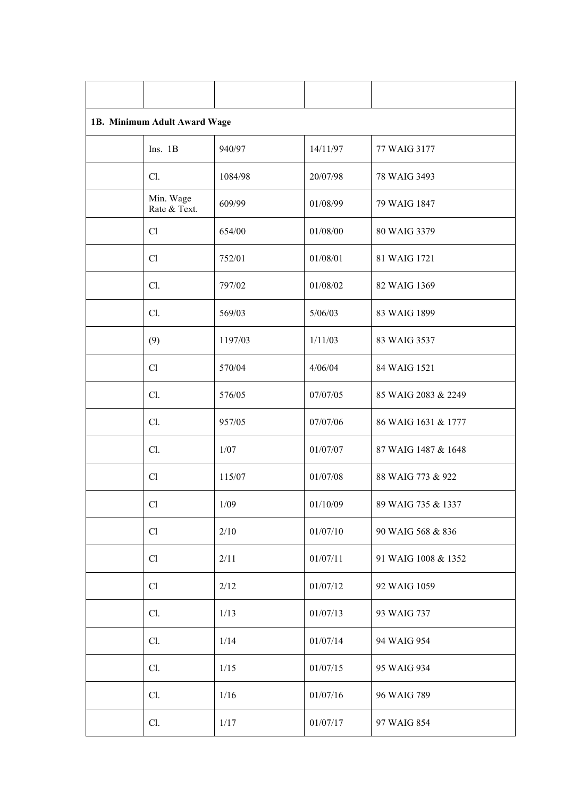| 1B. Minimum Adult Award Wage |         |          |                     |  |  |
|------------------------------|---------|----------|---------------------|--|--|
| Ins. 1B                      | 940/97  | 14/11/97 | 77 WAIG 3177        |  |  |
| Cl.                          | 1084/98 | 20/07/98 | 78 WAIG 3493        |  |  |
| Min. Wage<br>Rate & Text.    | 609/99  | 01/08/99 | 79 WAIG 1847        |  |  |
| Cl                           | 654/00  | 01/08/00 | 80 WAIG 3379        |  |  |
| Cl                           | 752/01  | 01/08/01 | 81 WAIG 1721        |  |  |
| Cl.                          | 797/02  | 01/08/02 | 82 WAIG 1369        |  |  |
| Cl.                          | 569/03  | 5/06/03  | 83 WAIG 1899        |  |  |
| (9)                          | 1197/03 | 1/11/03  | 83 WAIG 3537        |  |  |
| Cl                           | 570/04  | 4/06/04  | 84 WAIG 1521        |  |  |
| Cl.                          | 576/05  | 07/07/05 | 85 WAIG 2083 & 2249 |  |  |
| Cl.                          | 957/05  | 07/07/06 | 86 WAIG 1631 & 1777 |  |  |
| Cl.                          | 1/07    | 01/07/07 | 87 WAIG 1487 & 1648 |  |  |
| Cl                           | 115/07  | 01/07/08 | 88 WAIG 773 & 922   |  |  |
| Cl                           | 1/09    | 01/10/09 | 89 WAIG 735 & 1337  |  |  |
| Cl                           | 2/10    | 01/07/10 | 90 WAIG 568 & 836   |  |  |
| Cl                           | 2/11    | 01/07/11 | 91 WAIG 1008 & 1352 |  |  |
| Cl                           | 2/12    | 01/07/12 | 92 WAIG 1059        |  |  |
| Cl.                          | 1/13    | 01/07/13 | 93 WAIG 737         |  |  |
| Cl.                          | 1/14    | 01/07/14 | 94 WAIG 954         |  |  |
| Cl.                          | 1/15    | 01/07/15 | 95 WAIG 934         |  |  |
| Cl.                          | 1/16    | 01/07/16 | 96 WAIG 789         |  |  |
| Cl.                          | 1/17    | 01/07/17 | 97 WAIG 854         |  |  |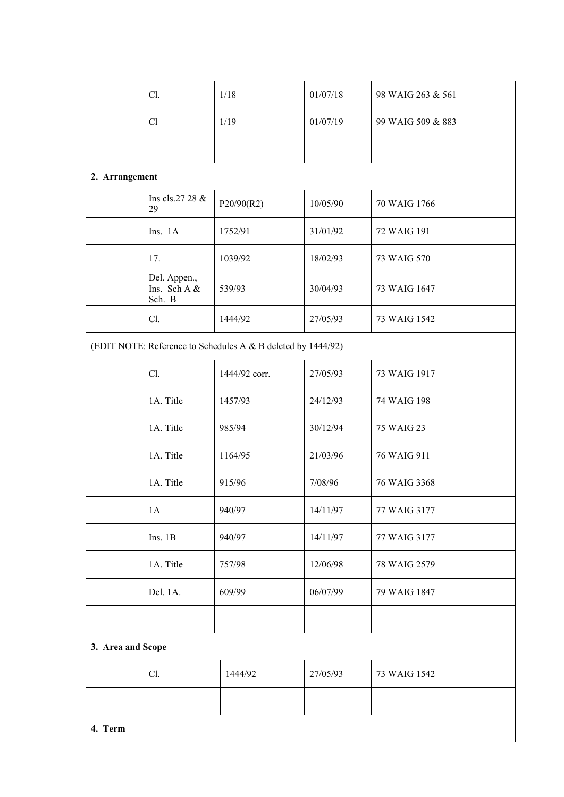|                   | Cl.                                    | 1/18                                                         | 01/07/18 | 98 WAIG 263 & 561 |
|-------------------|----------------------------------------|--------------------------------------------------------------|----------|-------------------|
|                   | Cl                                     | 1/19                                                         | 01/07/19 | 99 WAIG 509 & 883 |
|                   |                                        |                                                              |          |                   |
| 2. Arrangement    |                                        |                                                              |          |                   |
|                   | Ins cls.27 28 &<br>29                  | P20/90(R2)                                                   | 10/05/90 | 70 WAIG 1766      |
|                   | Ins. 1A                                | 1752/91                                                      | 31/01/92 | 72 WAIG 191       |
|                   | 17.                                    | 1039/92                                                      | 18/02/93 | 73 WAIG 570       |
|                   | Del. Appen.,<br>Ins. Sch A &<br>Sch. B | 539/93                                                       | 30/04/93 | 73 WAIG 1647      |
|                   | Cl.                                    | 1444/92                                                      | 27/05/93 | 73 WAIG 1542      |
|                   |                                        | (EDIT NOTE: Reference to Schedules A & B deleted by 1444/92) |          |                   |
|                   | Cl.                                    | 1444/92 corr.                                                | 27/05/93 | 73 WAIG 1917      |
|                   | 1A. Title                              | 1457/93                                                      | 24/12/93 | 74 WAIG 198       |
|                   | 1A. Title                              | 985/94                                                       | 30/12/94 | 75 WAIG 23        |
|                   | 1A. Title                              | 1164/95                                                      | 21/03/96 | 76 WAIG 911       |
|                   | 1A. Title                              | 915/96                                                       | 7/08/96  | 76 WAIG 3368      |
|                   | 1A                                     | 940/97                                                       | 14/11/97 | 77 WAIG 3177      |
|                   | Ins. 1B                                | 940/97                                                       | 14/11/97 | 77 WAIG 3177      |
|                   | 1A. Title                              | 757/98                                                       | 12/06/98 | 78 WAIG 2579      |
|                   | Del. 1A.                               | 609/99                                                       | 06/07/99 | 79 WAIG 1847      |
|                   |                                        |                                                              |          |                   |
| 3. Area and Scope |                                        |                                                              |          |                   |
|                   | Cl.                                    | 1444/92                                                      | 27/05/93 | 73 WAIG 1542      |
|                   |                                        |                                                              |          |                   |
| 4. Term           |                                        |                                                              |          |                   |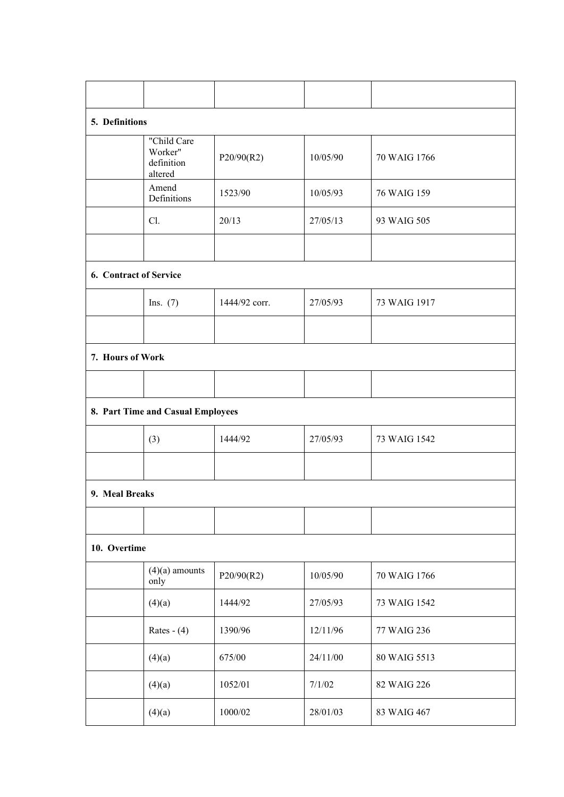| 5. Definitions         |                                                 |               |          |              |
|------------------------|-------------------------------------------------|---------------|----------|--------------|
|                        | "Child Care<br>Worker"<br>definition<br>altered | P20/90(R2)    | 10/05/90 | 70 WAIG 1766 |
|                        | Amend<br>Definitions                            | 1523/90       | 10/05/93 | 76 WAIG 159  |
|                        | Cl.                                             | 20/13         | 27/05/13 | 93 WAIG 505  |
|                        |                                                 |               |          |              |
| 6. Contract of Service |                                                 |               |          |              |
|                        | Ins. $(7)$                                      | 1444/92 corr. | 27/05/93 | 73 WAIG 1917 |
|                        |                                                 |               |          |              |
| 7. Hours of Work       |                                                 |               |          |              |
|                        |                                                 |               |          |              |
|                        | 8. Part Time and Casual Employees               |               |          |              |
|                        | (3)                                             | 1444/92       | 27/05/93 | 73 WAIG 1542 |
|                        |                                                 |               |          |              |
| 9. Meal Breaks         |                                                 |               |          |              |
|                        |                                                 |               |          |              |
| 10. Overtime           |                                                 |               |          |              |
|                        | $(4)(a)$ amounts<br>only                        | P20/90(R2)    | 10/05/90 | 70 WAIG 1766 |
|                        | (4)(a)                                          | 1444/92       | 27/05/93 | 73 WAIG 1542 |
|                        | Rates - $(4)$                                   | 1390/96       | 12/11/96 | 77 WAIG 236  |
|                        | (4)(a)                                          | 675/00        | 24/11/00 | 80 WAIG 5513 |
|                        | (4)(a)                                          | 1052/01       | 7/1/02   | 82 WAIG 226  |
|                        | (4)(a)                                          | 1000/02       | 28/01/03 | 83 WAIG 467  |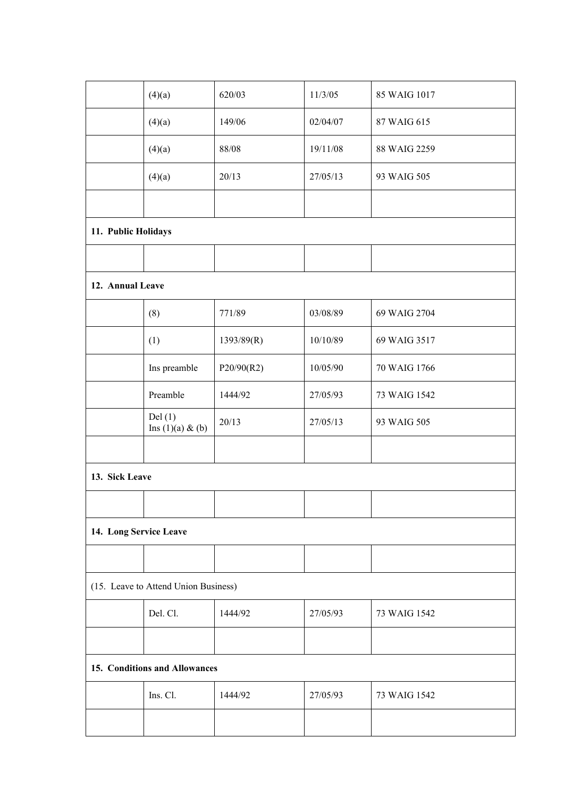| (4)(a)                         | 620/03     | 11/3/05                                                               | 85 WAIG 1017 |
|--------------------------------|------------|-----------------------------------------------------------------------|--------------|
| (4)(a)                         | 149/06     | 02/04/07                                                              | 87 WAIG 615  |
| (4)(a)                         | 88/08      | 19/11/08                                                              | 88 WAIG 2259 |
| (4)(a)                         | 20/13      | 27/05/13                                                              | 93 WAIG 505  |
|                                |            |                                                                       |              |
| 11. Public Holidays            |            |                                                                       |              |
|                                |            |                                                                       |              |
| 12. Annual Leave               |            |                                                                       |              |
| (8)                            | 771/89     | 03/08/89                                                              | 69 WAIG 2704 |
| (1)                            | 1393/89(R) | 10/10/89                                                              | 69 WAIG 3517 |
| Ins preamble                   | P20/90(R2) | 10/05/90                                                              | 70 WAIG 1766 |
| Preamble                       | 1444/92    | 27/05/93                                                              | 73 WAIG 1542 |
| Del(1)<br>Ins $(1)(a)$ & $(b)$ | 20/13      | 27/05/13                                                              | 93 WAIG 505  |
|                                |            |                                                                       |              |
| 13. Sick Leave                 |            |                                                                       |              |
|                                |            |                                                                       |              |
| 14. Long Service Leave         |            |                                                                       |              |
|                                |            |                                                                       |              |
|                                |            |                                                                       |              |
| Del. Cl.                       | 1444/92    | 27/05/93                                                              | 73 WAIG 1542 |
|                                |            |                                                                       |              |
|                                |            |                                                                       |              |
| Ins. Cl.                       | 1444/92    | 27/05/93                                                              | 73 WAIG 1542 |
|                                |            |                                                                       |              |
|                                |            | (15. Leave to Attend Union Business)<br>15. Conditions and Allowances |              |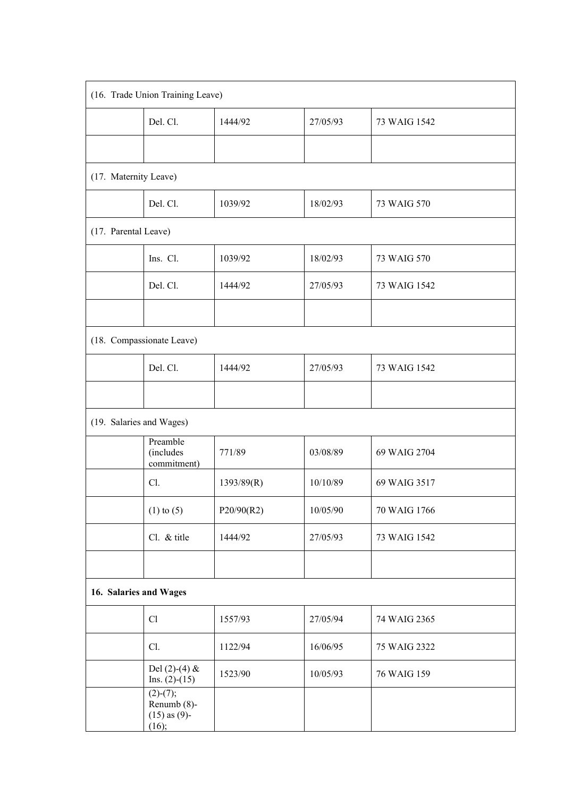| (16. Trade Union Training Leave) |                                                         |            |          |              |  |
|----------------------------------|---------------------------------------------------------|------------|----------|--------------|--|
|                                  | Del. Cl.                                                | 1444/92    | 27/05/93 | 73 WAIG 1542 |  |
|                                  |                                                         |            |          |              |  |
| (17. Maternity Leave)            |                                                         |            |          |              |  |
|                                  | Del. Cl.                                                | 1039/92    | 18/02/93 | 73 WAIG 570  |  |
| (17. Parental Leave)             |                                                         |            |          |              |  |
|                                  | Ins. Cl.                                                | 1039/92    | 18/02/93 | 73 WAIG 570  |  |
|                                  | Del. Cl.                                                | 1444/92    | 27/05/93 | 73 WAIG 1542 |  |
|                                  |                                                         |            |          |              |  |
|                                  | (18. Compassionate Leave)                               |            |          |              |  |
|                                  | Del. Cl.                                                | 1444/92    | 27/05/93 | 73 WAIG 1542 |  |
|                                  |                                                         |            |          |              |  |
| (19. Salaries and Wages)         |                                                         |            |          |              |  |
|                                  | Preamble<br>(includes<br>commitment)                    | 771/89     | 03/08/89 | 69 WAIG 2704 |  |
|                                  | Cl.                                                     | 1393/89(R) | 10/10/89 | 69 WAIG 3517 |  |
|                                  | $(1)$ to $(5)$                                          | P20/90(R2) | 10/05/90 | 70 WAIG 1766 |  |
|                                  | Cl. & title                                             | 1444/92    | 27/05/93 | 73 WAIG 1542 |  |
|                                  |                                                         |            |          |              |  |
| 16. Salaries and Wages           |                                                         |            |          |              |  |
|                                  | Cl                                                      | 1557/93    | 27/05/94 | 74 WAIG 2365 |  |
|                                  | Cl.                                                     | 1122/94    | 16/06/95 | 75 WAIG 2322 |  |
|                                  | Del $(2)-(4)$ &<br>Ins. $(2)-(15)$                      | 1523/90    | 10/05/93 | 76 WAIG 159  |  |
|                                  | $(2)-(7);$<br>Renumb (8)-<br>$(15)$ as $(9)$ -<br>(16); |            |          |              |  |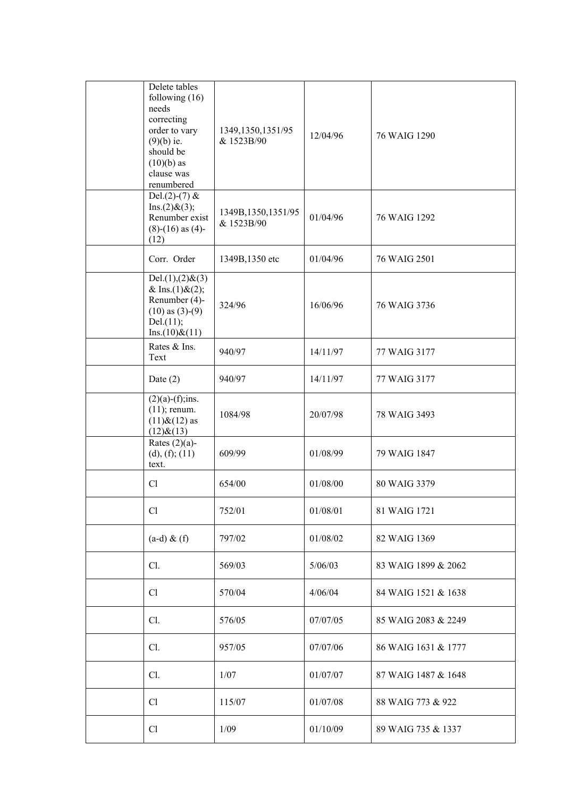| Delete tables<br>following $(16)$<br>needs<br>correcting<br>order to vary<br>$(9)(b)$ ie.<br>should be<br>$(10)(b)$ as<br>clause was<br>renumbered | 1349, 1350, 1351/95<br>& 1523B/90  | 12/04/96 | 76 WAIG 1290        |
|----------------------------------------------------------------------------------------------------------------------------------------------------|------------------------------------|----------|---------------------|
| Del. $(2)-(7)$ &<br>Ins.(2) & (3);<br>Renumber exist<br>$(8)-(16)$ as $(4)$ -<br>(12)                                                              | 1349B, 1350, 1351/95<br>& 1523B/90 | 01/04/96 | 76 WAIG 1292        |
| Corr. Order                                                                                                                                        | 1349B, 1350 etc                    | 01/04/96 | 76 WAIG 2501        |
| Del. $(1), (2)$ & $(3)$<br>& Ins.(1)&(2);<br>Renumber (4)-<br>$(10)$ as $(3)-(9)$<br>Del.(11);<br>Ins.(10) & (11)                                  | 324/96                             | 16/06/96 | 76 WAIG 3736        |
| Rates & Ins.<br>Text                                                                                                                               | 940/97                             | 14/11/97 | 77 WAIG 3177        |
| Date $(2)$                                                                                                                                         | 940/97                             | 14/11/97 | 77 WAIG 3177        |
| $(2)(a)-(f);$ ins.<br>$(11)$ ; renum.<br>$(11)$ & $(12)$ as<br>$(12)$ & $(13)$                                                                     | 1084/98                            | 20/07/98 | 78 WAIG 3493        |
| Rates $(2)(a)$ -<br>(d), (f); (11)<br>text.                                                                                                        | 609/99                             | 01/08/99 | 79 WAIG 1847        |
| Cl                                                                                                                                                 | 654/00                             | 01/08/00 | 80 WAIG 3379        |
| Cl                                                                                                                                                 | 752/01                             | 01/08/01 | 81 WAIG 1721        |
| $(a-d)$ & $(f)$                                                                                                                                    | 797/02                             | 01/08/02 | 82 WAIG 1369        |
| Cl.                                                                                                                                                | 569/03                             | 5/06/03  | 83 WAIG 1899 & 2062 |
| Cl                                                                                                                                                 | 570/04                             | 4/06/04  | 84 WAIG 1521 & 1638 |
| Cl.                                                                                                                                                | 576/05                             | 07/07/05 | 85 WAIG 2083 & 2249 |
| Cl.                                                                                                                                                | 957/05                             | 07/07/06 | 86 WAIG 1631 & 1777 |
| Cl.                                                                                                                                                | 1/07                               | 01/07/07 | 87 WAIG 1487 & 1648 |
| Cl                                                                                                                                                 | 115/07                             | 01/07/08 | 88 WAIG 773 & 922   |
| Cl                                                                                                                                                 | 1/09                               | 01/10/09 | 89 WAIG 735 & 1337  |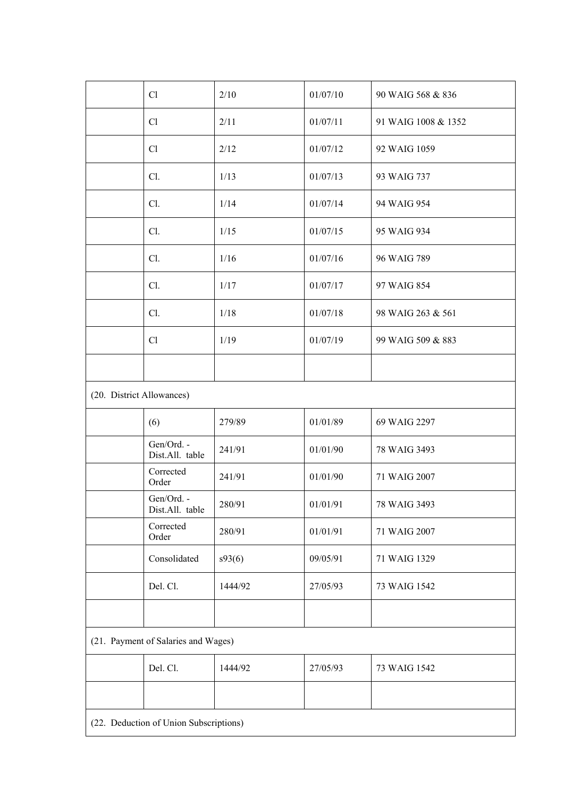|                                        | Cl                            | 2/10    | 01/07/10 | 90 WAIG 568 & 836   |  |  |
|----------------------------------------|-------------------------------|---------|----------|---------------------|--|--|
|                                        | Cl                            | 2/11    | 01/07/11 | 91 WAIG 1008 & 1352 |  |  |
|                                        | Cl                            | 2/12    | 01/07/12 | 92 WAIG 1059        |  |  |
|                                        | Cl.                           | 1/13    | 01/07/13 | 93 WAIG 737         |  |  |
|                                        | Cl.                           | 1/14    | 01/07/14 | 94 WAIG 954         |  |  |
|                                        | Cl.                           | 1/15    | 01/07/15 | 95 WAIG 934         |  |  |
|                                        | Cl.                           | 1/16    | 01/07/16 | 96 WAIG 789         |  |  |
|                                        | Cl.                           | 1/17    | 01/07/17 | 97 WAIG 854         |  |  |
|                                        | Cl.                           | 1/18    | 01/07/18 | 98 WAIG 263 & 561   |  |  |
|                                        | Cl                            | 1/19    | 01/07/19 | 99 WAIG 509 & 883   |  |  |
|                                        |                               |         |          |                     |  |  |
| (20. District Allowances)              |                               |         |          |                     |  |  |
|                                        | (6)                           | 279/89  | 01/01/89 | 69 WAIG 2297        |  |  |
|                                        | Gen/Ord. -<br>Dist.All. table | 241/91  | 01/01/90 | 78 WAIG 3493        |  |  |
|                                        | Corrected<br>Order            | 241/91  | 01/01/90 | 71 WAIG 2007        |  |  |
|                                        | Gen/Ord. -<br>Dist.All. table | 280/91  | 01/01/91 | 78 WAIG 3493        |  |  |
|                                        | Corrected<br>Order            | 280/91  | 01/01/91 | 71 WAIG 2007        |  |  |
|                                        | Consolidated                  | s93(6)  | 09/05/91 | 71 WAIG 1329        |  |  |
|                                        | Del. Cl.                      | 1444/92 | 27/05/93 | 73 WAIG 1542        |  |  |
|                                        |                               |         |          |                     |  |  |
| (21. Payment of Salaries and Wages)    |                               |         |          |                     |  |  |
|                                        | Del. Cl.                      | 1444/92 | 27/05/93 | 73 WAIG 1542        |  |  |
|                                        |                               |         |          |                     |  |  |
| (22. Deduction of Union Subscriptions) |                               |         |          |                     |  |  |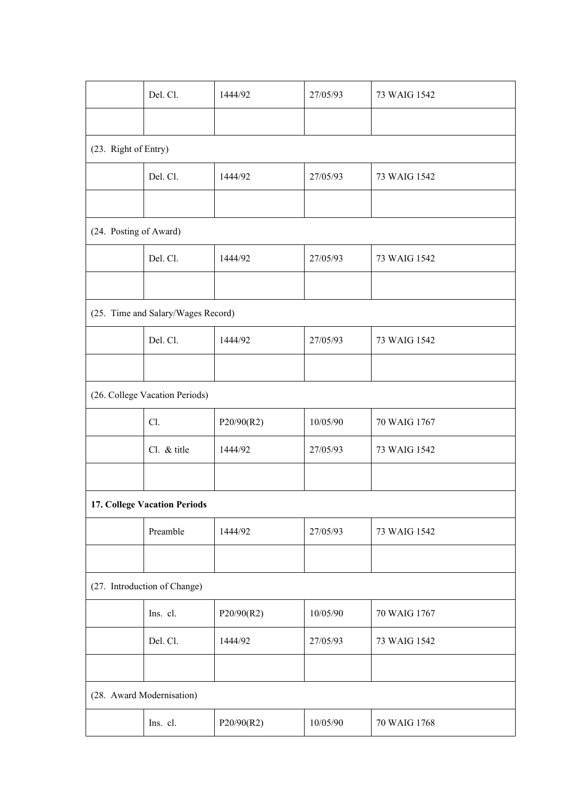|                                    | Del. Cl.    | 1444/92    | 27/05/93 | 73 WAIG 1542 |  |  |  |
|------------------------------------|-------------|------------|----------|--------------|--|--|--|
|                                    |             |            |          |              |  |  |  |
| (23. Right of Entry)               |             |            |          |              |  |  |  |
|                                    | Del. Cl.    | 1444/92    | 27/05/93 | 73 WAIG 1542 |  |  |  |
|                                    |             |            |          |              |  |  |  |
| (24. Posting of Award)             |             |            |          |              |  |  |  |
|                                    | Del. Cl.    | 1444/92    | 27/05/93 | 73 WAIG 1542 |  |  |  |
|                                    |             |            |          |              |  |  |  |
| (25. Time and Salary/Wages Record) |             |            |          |              |  |  |  |
|                                    | Del. Cl.    | 1444/92    | 27/05/93 | 73 WAIG 1542 |  |  |  |
|                                    |             |            |          |              |  |  |  |
| (26. College Vacation Periods)     |             |            |          |              |  |  |  |
|                                    | Cl.         | P20/90(R2) | 10/05/90 | 70 WAIG 1767 |  |  |  |
|                                    | Cl. & title | 1444/92    | 27/05/93 | 73 WAIG 1542 |  |  |  |
|                                    |             |            |          |              |  |  |  |
| 17. College Vacation Periods       |             |            |          |              |  |  |  |
|                                    | Preamble    | 1444/92    | 27/05/93 | 73 WAIG 1542 |  |  |  |
|                                    |             |            |          |              |  |  |  |
| (27. Introduction of Change)       |             |            |          |              |  |  |  |
|                                    | Ins. cl.    | P20/90(R2) | 10/05/90 | 70 WAIG 1767 |  |  |  |
|                                    | Del. Cl.    | 1444/92    | 27/05/93 | 73 WAIG 1542 |  |  |  |
|                                    |             |            |          |              |  |  |  |
| (28. Award Modernisation)          |             |            |          |              |  |  |  |
|                                    | Ins. cl.    | P20/90(R2) | 10/05/90 | 70 WAIG 1768 |  |  |  |